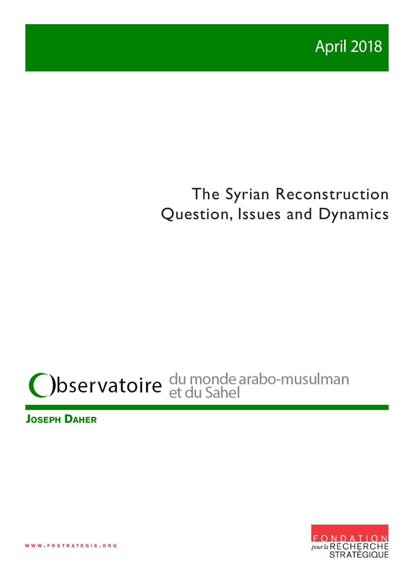

# The Syrian Reconstruction Question, Issues and Dynamics

# Observatoire du monde arabo-musulman

**Joseph Daher**



**w w w . f r s t r a t e g i e . o r g**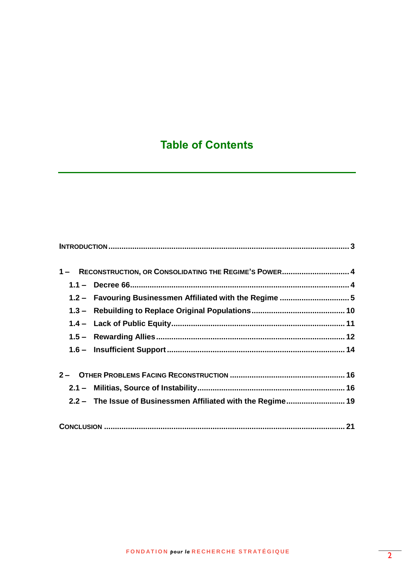# **Table of Contents**

| 1- RECONSTRUCTION, OR CONSOLIDATING THE REGIME'S POWER 4     |  |
|--------------------------------------------------------------|--|
|                                                              |  |
| 1.2 - Favouring Businessmen Affiliated with the Regime 5     |  |
|                                                              |  |
|                                                              |  |
|                                                              |  |
|                                                              |  |
|                                                              |  |
|                                                              |  |
| 2.2 - The Issue of Businessmen Affiliated with the Regime 19 |  |
|                                                              |  |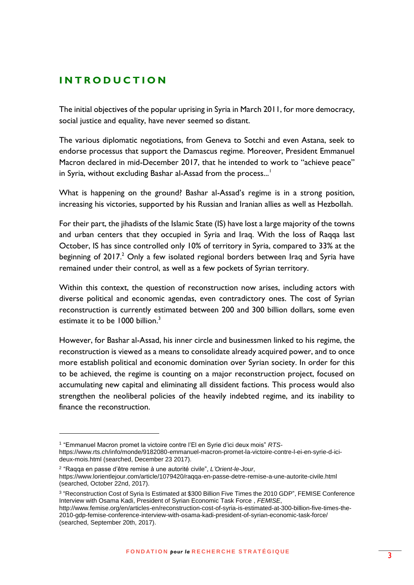#### <span id="page-2-0"></span>**I N T R O D U C T I O N**

The initial objectives of the popular uprising in Syria in March 2011, for more democracy, social justice and equality, have never seemed so distant.

The various diplomatic negotiations, from Geneva to Sotchi and even Astana, seek to endorse processus that support the Damascus regime. Moreover, President Emmanuel Macron declared in mid-December 2017, that he intended to work to "achieve peace" in Syria, without excluding Bashar al-Assad from the process...<sup>1</sup>

What is happening on the ground? Bashar al-Assad's regime is in a strong position, increasing his victories, supported by his Russian and Iranian allies as well as Hezbollah.

For their part, the jihadists of the Islamic State (IS) have lost a large majority of the towns and urban centers that they occupied in Syria and Iraq. With the loss of Raqqa last October, IS has since controlled only 10% of territory in Syria, compared to 33% at the beginning of  $2017<sup>2</sup>$  Only a few isolated regional borders between Iraq and Syria have remained under their control, as well as a few pockets of Syrian territory.

Within this context, the question of reconstruction now arises, including actors with diverse political and economic agendas, even contradictory ones. The cost of Syrian reconstruction is currently estimated between 200 and 300 billion dollars, some even estimate it to be 1000 billion.<sup>3</sup>

However, for Bashar al-Assad, his inner circle and businessmen linked to his regime, the reconstruction is viewed as a means to consolidate already acquired power, and to once more establish political and economic domination over Syrian society. In order for this to be achieved, the regime is counting on a major reconstruction project, focused on accumulating new capital and eliminating all dissident factions. This process would also strengthen the neoliberal policies of the heavily indebted regime, and its inability to finance the reconstruction.

<sup>1</sup> "Emmanuel Macron promet la victoire contre l'El en Syrie d'ici deux mois" *RTS*[https://www.rts.ch/info/monde/9182080-emmanuel-macron-promet-la-victoire-contre-l-ei-en-syrie-d-ici](https://www.rts.ch/info/monde/9182080-emmanuel-macron-promet-la-victoire-contre-l-ei-en-syrie-d-ici-deux-mois.html)[deux-mois.html](https://www.rts.ch/info/monde/9182080-emmanuel-macron-promet-la-victoire-contre-l-ei-en-syrie-d-ici-deux-mois.html) (searched, December 23 2017).

<sup>2</sup> "Raqqa en passe d'être remise à une autorité civile", *L'Orient-le-Jour*,

<https://www.lorientlejour.com/article/1079420/raqqa-en-passe-detre-remise-a-une-autorite-civile.html> (searched, October 22nd, 2017).

<sup>&</sup>lt;sup>3</sup> "Reconstruction Cost of Syria Is Estimated at \$300 Billion Five Times the 2010 GDP", FEMISE Conference Interview with Osama Kadi, President of Syrian Economic Task Force , *FEMISE*,

[http://www.femise.org/en/articles-en/reconstruction-cost-of-syria-is-estimated-at-300-billion-five-times-the-](http://www.femise.org/en/articles-en/reconstruction-cost-of-syria-is-estimated-at-300-billion-five-times-the-2010-gdp-femise-conference-interview-with-osama-kadi-president-of-syrian-economic-task-force/)[2010-gdp-femise-conference-interview-with-osama-kadi-president-of-syrian-economic-task-force/](http://www.femise.org/en/articles-en/reconstruction-cost-of-syria-is-estimated-at-300-billion-five-times-the-2010-gdp-femise-conference-interview-with-osama-kadi-president-of-syrian-economic-task-force/) (searched, September 20th, 2017).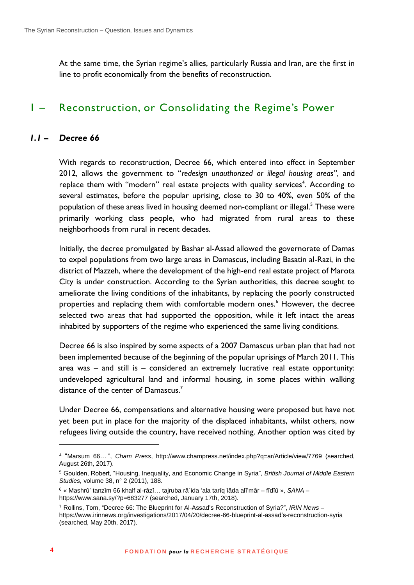<span id="page-3-0"></span>At the same time, the Syrian regime's allies, particularly Russia and Iran, are the first in line to profit economically from the benefits of reconstruction.

# 1 – Reconstruction, or Consolidating the Regime's Power

#### *1.1 – Decree 66*

<span id="page-3-1"></span>With regards to reconstruction, Decree 66, which entered into effect in September 2012, allows the government to "*redesign unauthorized or illegal housing areas"*, and replace them with "modern" real estate projects with quality services<sup>4</sup>. According to several estimates, before the popular uprising, close to 30 to 40%, even 50% of the population of these areas lived in housing deemed non-compliant or illegal.<sup>5</sup> These were primarily working class people, who had migrated from rural areas to these neighborhoods from rural in recent decades.

Initially, the decree promulgated by Bashar al-Assad allowed the governorate of Damas to expel populations from two large areas in Damascus, including Basatin al-Razi, in the district of Mazzeh, where the development of the high-end real estate project of Marota City is under construction. According to the Syrian authorities, this decree sought to ameliorate the living conditions of the inhabitants, by replacing the poorly constructed properties and replacing them with comfortable modern ones.<sup>6</sup> However, the decree selected two areas that had supported the opposition, while it left intact the areas inhabited by supporters of the regime who experienced the same living conditions.

Decree 66 is also inspired by some aspects of a 2007 Damascus urban plan that had not been implemented because of the beginning of the popular uprisings of March 2011. This area was – and still is – considered an extremely lucrative real estate opportunity: undeveloped agricultural land and informal housing, in some places within walking distance of the center of Damascus.<sup>7</sup>

Under Decree 66, compensations and alternative housing were proposed but have not yet been put in place for the majority of the displaced inhabitants, whilst others, now refugees living outside the country, have received nothing. Another option was cited by

<sup>4</sup> "Marsum 66… ", *Cham Press*,<http://www.champress.net/index.php?q=ar/Article/view/7769> (searched, August 26th, 2017).

<sup>5</sup> Goulden, Robert, "Housing, Inequality, and Economic Change in Syria", *British Journal of Middle Eastern Studies,* volume 38, n° 2 (2011), 188.

<sup>6</sup> « Mashrû' tanzîm 66 khalf al-râzî… tajruba râ`ida 'ala tarîq îâda alî'mâr – fîdîû », *SANA* – <https://www.sana.sy/?p=683277> (searched, January 17th, 2018).

<sup>7</sup> Rollins, Tom, "Decree 66: The Blueprint for Al-Assad's Reconstruction of Syria?", *IRIN News* – [https://www.irinnews.org/investigations/2017/04/20/decree-66-blueprint-al-assad's-reconstruction-syria](https://www.irinnews.org/investigations/2017/04/20/decree-66-blueprint-al-assad) (searched, May 20th, 2017).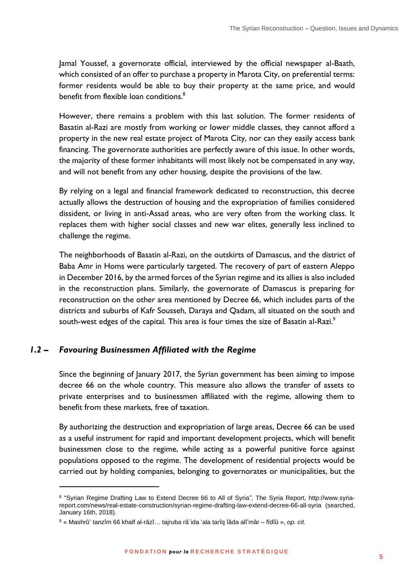Jamal Youssef, a governorate official, interviewed by the official newspaper al-Baath, which consisted of an offer to purchase a property in Marota City, on preferential terms: former residents would be able to buy their property at the same price, and would benefit from flexible loan conditions.<sup>8</sup>

However, there remains a problem with this last solution. The former residents of Basatin al-Razi are mostly from working or lower middle classes, they cannot afford a property in the new real estate project of Marota City, nor can they easily access bank financing. The governorate authorities are perfectly aware of this issue. In other words, the majority of these former inhabitants will most likely not be compensated in any way, and will not benefit from any other housing, despite the provisions of the law.

By relying on a legal and financial framework dedicated to reconstruction, this decree actually allows the destruction of housing and the expropriation of families considered dissident, or living in anti-Assad areas, who are very often from the working class. It replaces them with higher social classes and new war elites, generally less inclined to challenge the regime.

The neighborhoods of Basatin al-Razi, on the outskirts of Damascus, and the district of Baba Amr in Homs were particularly targeted. The recovery of part of eastern Aleppo in December 2016, by the armed forces of the Syrian regime and its allies is also included in the reconstruction plans. Similarly, the governorate of Damascus is preparing for reconstruction on the other area mentioned by Decree 66, which includes parts of the districts and suburbs of Kafr Sousseh, Daraya and Qadam, all situated on the south and south-west edges of the capital. This area is four times the size of Basatin al-Razi.<sup>9</sup>

#### <span id="page-4-0"></span>*1.2 – Favouring Businessmen Affiliated with the Regime*

1

Since the beginning of January 2017, the Syrian government has been aiming to impose decree 66 on the whole country. This measure also allows the transfer of assets to private enterprises and to businessmen affiliated with the regime, allowing them to benefit from these markets, free of taxation.

By authorizing the destruction and expropriation of large areas, Decree 66 can be used as a useful instrument for rapid and important development projects, which will benefit businessmen close to the regime, while acting as a powerful punitive force against populations opposed to the regime. The development of residential projects would be carried out by holding companies, belonging to governorates or municipalities, but the

<sup>&</sup>lt;sup>8</sup> "Syrian Regime Drafting Law to Extend Decree 66 to All of Syria", The Syria Report, [http://www.syria](http://www.syria-report.com/news/real-estate-construction/syrian-regime-drafting-law-extend-decree-66-all-syria)[report.com/news/real-estate-construction/syrian-regime-drafting-law-extend-decree-66-all-syria](http://www.syria-report.com/news/real-estate-construction/syrian-regime-drafting-law-extend-decree-66-all-syria) (searched, January 16th, 2018).

<sup>9</sup> « Mashrû' tanzîm 66 khalf al-râzî… tajruba râ`ida 'ala tarîq îâda alî'mâr – fîdîû », *op. cit.*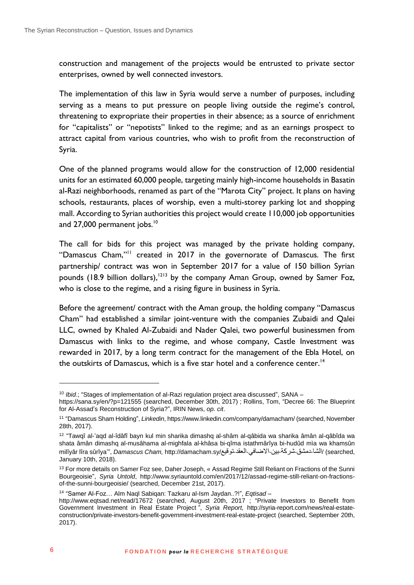construction and management of the projects would be entrusted to private sector enterprises, owned by well connected investors.

The implementation of this law in Syria would serve a number of purposes, including serving as a means to put pressure on people living outside the regime's control, threatening to expropriate their properties in their absence; as a source of enrichment for "capitalists" or "nepotists" linked to the regime; and as an earnings prospect to attract capital from various countries, who wish to profit from the reconstruction of Syria.

One of the planned programs would allow for the construction of 12,000 residential units for an estimated 60,000 people, targeting mainly high-income households in Basatin al-Razi neighborhoods, renamed as part of the "Marota City" project. It plans on having schools, restaurants, places of worship, even a multi-storey parking lot and shopping mall. According to Syrian authorities this project would create 110,000 job opportunities and 27,000 permanent jobs.<sup>10</sup>

The call for bids for this project was managed by the private holding company, "Damascus Cham,"<sup>11</sup> created in 2017 in the governorate of Damascus. The first partnership/ contract was won in September 2017 for a value of 150 billion Syrian pounds (18.9 billion dollars),  $1213$  by the company Aman Group, owned by Samer Foz, who is close to the regime, and a rising figure in business in Syria.

Before the agreement/ contract with the Aman group, the holding company "Damascus Cham" had established a similar joint-venture with the companies Zubaidi and Qalei LLC, owned by Khaled Al-Zubaidi and Nader Qalei, two powerful businessmen from Damascus with links to the regime, and whose company, Castle Investment was rewarded in 2017, by a long term contract for the management of the Ebla Hotel, on the outskirts of Damascus, which is a five star hotel and a conference center.<sup>14</sup>

<sup>&</sup>lt;sup>10</sup> *Ibid.*; "Stages of implementation of al-Razi regulation project area discussed", SANA -

<https://sana.sy/en/?p=121555> (searched, December 30th, 2017) ; Rollins, Tom, "Decree 66: The Blueprint for Al-Assad's Reconstruction of Syria?", IRIN News, *op. cit*.

<sup>11</sup> "Damascus Sham Holding", *Linkedin*[, https://www.linkedin.com/company/damacham/](https://www.linkedin.com/company/damacham/) (searched, November 28th, 2017).

<sup>&</sup>lt;sup>12</sup> "Tawqî al-'aqd al-îdâfî bayn kul min sharika dimashq al-shâm al-qâbida wa sharika âmân al-qâbîda wa shata âmân dimashq al-musâhama al-mighfala al-khâsa bi-qîma istathmârîya bi-hudûd mìa wa khamsûn milîyâr lîra sûrîya'", *Damascus Cham*, [http://damacham.sy/](http://damacham.sy/%25D8%25AA%25D9%2588%25D9%2582%25D9%258A%25D8%25B9-%25D8%25A7%25D9%2584%25D8%25B9%25D9%2582%25D8%25AF-%25D8%25A7%25D9%2584%25D8%25A7%25D8%25B6%25D8%25A7%25D9%2581%25D9%258A-%25D8%25A8%25D9%258A%25D9%2586-%25D8%25B4%25D8%25B1%25D9%2583%25D8%25A9-%25D8%25AF%25D9%2585%25D8%25B4%25D9%2582-%25D8%25A7%25D9%2584%25D8%25B4%25D8%25A7/)الشا-دمشق-شركة-بين-الاضافي-العقد-[توقيع](http://damacham.sy/%25D8%25AA%25D9%2588%25D9%2582%25D9%258A%25D8%25B9-%25D8%25A7%25D9%2584%25D8%25B9%25D9%2582%25D8%25AF-%25D8%25A7%25D9%2584%25D8%25A7%25D8%25B6%25D8%25A7%25D9%2581%25D9%258A-%25D8%25A8%25D9%258A%25D9%2586-%25D8%25B4%25D8%25B1%25D9%2583%25D8%25A9-%25D8%25AF%25D9%2585%25D8%25B4%25D9%2582-%25D8%25A7%25D9%2584%25D8%25B4%25D8%25A7/)[-](http://damacham.sy/%25D8%25AA%25D9%2588%25D9%2582%25D9%258A%25D8%25B9-%25D8%25A7%25D9%2584%25D8%25B9%25D9%2582%25D8%25AF-%25D8%25A7%25D9%2584%25D8%25A7%25D8%25B6%25D8%25A7%25D9%2581%25D9%258A-%25D8%25A8%25D9%258A%25D9%2586-%25D8%25B4%25D8%25B1%25D9%2583%25D8%25A9-%25D8%25AF%25D9%2585%25D8%25B4%25D9%2582-%25D8%25A7%25D9%2584%25D8%25B4%25D8%25A7/)/damacham.sy/ January 10th, 2018).

<sup>&</sup>lt;sup>13</sup> For more details on Samer Foz see, Daher Joseph, « Assad Regime Still Reliant on Fractions of the Sunni Bourgeoisie", *Syria Untold*, [http://www.syriauntold.com/en/2017/12/assad-regime-still-reliant-on-fractions](http://www.syriauntold.com/en/2017/12/assad-regime-still-reliant-on-fractions-of-the-sunni-bourgeoisie/)[of-the-sunni-bourgeoisie/](http://www.syriauntold.com/en/2017/12/assad-regime-still-reliant-on-fractions-of-the-sunni-bourgeoisie/) (searched, December 21st, 2017).

<sup>14</sup> "Samer Al-Foz… Alm Naql Sabiqan: Tazkaru al-Ism Jaydan..?!", *Eqtisad* –

<http://www.eqtsad.net/read/17672> (searched, August 20th, 2017 ; "Private Investors to Benefit from Government Investment in Real Estate Project ", *Syria Report,* [http://syria-report.com/news/real-estate](http://syria-report.com/news/real-estate-construction/private-investors-benefit-government-investment-real-estate-project)[construction/private-investors-benefit-government-investment-real-estate-project](http://syria-report.com/news/real-estate-construction/private-investors-benefit-government-investment-real-estate-project) (searched, September 20th, 2017).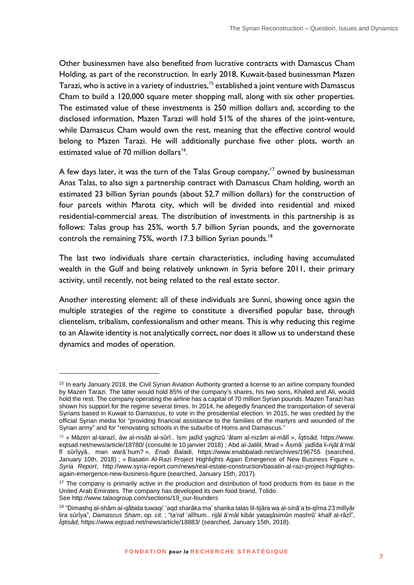Other businessmen have also benefited from lucrative contracts with Damascus Cham Holding, as part of the reconstruction. In early 2018, Kuwait-based businessman Mazen Tarazi, who is active in a variety of industries,<sup>15</sup> established a joint venture with Damascus Cham to build a 120,000 square meter shopping mall, along with six other properties. The estimated value of these investments is 250 million dollars and, according to the disclosed information, Mazen Tarazi will hold 51% of the shares of the joint-venture, while Damascus Cham would own the rest, meaning that the effective control would belong to Mazen Tarazi. He will additionally purchase five other plots, worth an estimated value of 70 million dollars<sup>16</sup>.

A few days later, it was the turn of the Talas Group company, $17$  owned by businessman Anas Talas, to also sign a partnership contract with Damascus Cham holding, worth an estimated 23 billion Syrian pounds (about 52.7 million dollars) for the construction of four parcels within Marota city, which will be divided into residential and mixed residential-commercial areas. The distribution of investments in this partnership is as follows: Talas group has 25%, worth 5.7 billion Syrian pounds, and the governorate controls the remaining 75%, worth 17.3 billion Syrian pounds.<sup>18</sup>

The last two individuals share certain characteristics, including having accumulated wealth in the Gulf and being relatively unknown in Syria before 2011, their primary activity, until recently, not being related to the real estate sector.

Another interesting element: all of these individuals are Sunni, showing once again the multiple strategies of the regime to constitute a diversified popular base, through clientelism, tribalism, confessionalism and other means. This is why reducing this regime to an Alawite identity is not analytically correct, nor does it allow us to understand these dynamics and modes of operation.

<sup>&</sup>lt;sup>15</sup> In early January 2018, the Civil Syrian Aviation Authority granted a license to an airline company founded by Mazen Tarazi. The latter would hold 85% of the company's shares, his two sons, Khaled and Ali, would hold the rest. The company operating the airline has a capital of 70 million Syrian pounds. Mazen Tarazi has shown his support for the regime several times. In 2014, he allegedly financed the transportation of several Syrians based in Kuwait to Damascus, to vote in the presidential election. In 2015, he was credited by the official Syrian media for "providing financial assistance to the families of the martyrs and wounded of the Syrian army" and for "renovating schools in the suburbs of Homs and Damascus."

<sup>16</sup> « Mâzen al-tarazî, âw al-nisâb al-sûrî.. îsm jadîd yaghzû 'âlam al-nizâm al-mâlî », *Îqtisâd,* https://www. eqtsad.net/news/article/18780/ (consulté le 10 janvier 2018) ; Abd al-Jalilil, Mrad « Âsmâ` jadîda li-rijâl â'mâl fî sûrîyyâ.. man warâ`hum? », *Enab Baladi*, <https://www.enabbaladi.net/archives/196755> (searched, January 10th, 2018) ; « Basatin Al-Razi Project Highlights Again Emergence of New Business Figure », *Syria Report*, [http://www.syria-report.com/news/real-estate-construction/basatin-al-razi-project-highlights](http://www.syria-report.com/news/real-estate-construction/basatin-al-razi-project-highlights-again-emergence-new-business-figure)[again-emergence-new-business-figure](http://www.syria-report.com/news/real-estate-construction/basatin-al-razi-project-highlights-again-emergence-new-business-figure) (searched, January 15th, 2017).

<sup>&</sup>lt;sup>17</sup> The company is primarily active in the production and distribution of food products from its base in the United Arab Emirates. The company has developed its own food brand, Tolido. Se[e http://www.talasgroup.com/sections/19\\_our-founders](http://www.talasgroup.com/sections/19_our-founders)

<sup>&</sup>lt;sup>18</sup> "Dimashq al-shâm al-qâbida tuwaqi' 'aqd sharâka ma' sharika talas lil-tijâra wa al-sinâ'a bi-qîma 23 milîyâr lira sûrîya", *Damascus Sham*, *op. cit.* ; "ta'raf 'alîhum.. rijâl â'mâl kibâr yataqâsimûn mashrû' khalf al-râzî", *Îqtisâd,* <https://www.eqtsad.net/news/article/18883/> (searched, January 15th, 2018).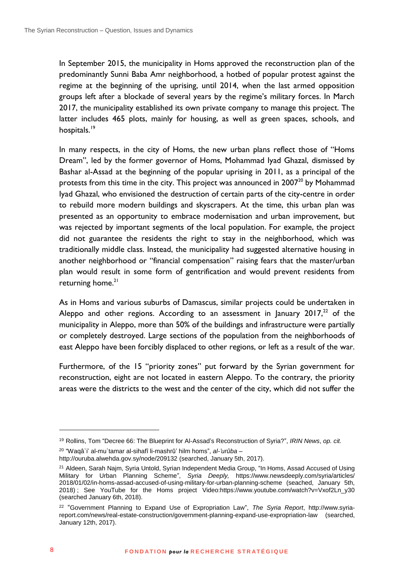In September 2015, the municipality in Homs approved the reconstruction plan of the predominantly Sunni Baba Amr neighborhood, a hotbed of popular protest against the regime at the beginning of the uprising, until 2014, when the last armed opposition groups left after a blockade of several years by the regime's military forces. In March 2017, the municipality established its own private company to manage this project. The latter includes 465 plots, mainly for housing, as well as green spaces, schools, and hospitals.<sup>19</sup>

In many respects, in the city of Homs, the new urban plans reflect those of "Homs Dream", led by the former governor of Homs, Mohammad Iyad Ghazal, dismissed by Bashar al-Assad at the beginning of the popular uprising in 2011, as a principal of the protests from this time in the city. This project was announced in 2007<sup>20</sup> by Mohammad Iyad Ghazal, who envisioned the destruction of certain parts of the city-centre in order to rebuild more modern buildings and skyscrapers. At the time, this urban plan was presented as an opportunity to embrace modernisation and urban improvement, but was rejected by important segments of the local population. For example, the project did not guarantee the residents the right to stay in the neighborhood, which was traditionally middle class. Instead, the municipality had suggested alternative housing in another neighborhood or "financial compensation" raising fears that the master/urban plan would result in some form of gentrification and would prevent residents from returning home.<sup>21</sup>

As in Homs and various suburbs of Damascus, similar projects could be undertaken in Aleppo and other regions. According to an assessment in January  $2017<sup>22</sup>$  of the municipality in Aleppo, more than 50% of the buildings and infrastructure were partially or completely destroyed. Large sections of the population from the neighborhoods of east Aleppo have been forcibly displaced to other regions, or left as a result of the war.

Furthermore, of the 15 "priority zones" put forward by the Syrian government for reconstruction, eight are not located in eastern Aleppo. To the contrary, the priority areas were the districts to the west and the center of the city, which did not suffer the

20 "Waqâ`i' al-mu`tamar al-sihafî li-mashrû' hilm homs", *al-'urûba* –

<sup>19</sup> Rollins, Tom "Decree 66: The Blueprint for Al-Assad's Reconstruction of Syria?", *IRIN News*, *op. cit.*

<http://ouruba.alwehda.gov.sy/node/209132> (searched, January 5th, 2017).

<sup>&</sup>lt;sup>21</sup> Aldeen, Sarah Najm, Syria Untold, Syrian Independent Media Group, "In Homs, Assad Accused of Using Military for Urban Planning Scheme", *Syria Deeply,* [https://www.newsdeeply.com/syria/articles/](https://www.newsdeeply.com/syria/articles/%25202018/01/02/in-homs-assad-accused-of-using-military-for-urban-planning-scheme)  [2018/01/02/in-homs-assad-accused-of-using-military-for-urban-planning-scheme](https://www.newsdeeply.com/syria/articles/%25202018/01/02/in-homs-assad-accused-of-using-military-for-urban-planning-scheme) (seached, January 5th, 2018); See YouTube for the Homs project Vide[o:https://www.youtube.com/watch?v=Vxof2Ln\\_y30](https://www.youtube.com/watch?v=Vxof2Ln_y30) (searched January 6th, 2018).

<sup>22</sup> "Government Planning to Expand Use of Expropriation Law", *The Syria Report*, [http://www.syria](http://www.syria-report.com/news/real-estate-construction/government-planning-expand-use-expropriation-law)[report.com/news/real-estate-construction/government-planning-expand-use-expropriation-law](http://www.syria-report.com/news/real-estate-construction/government-planning-expand-use-expropriation-law) (searched, January 12th, 2017).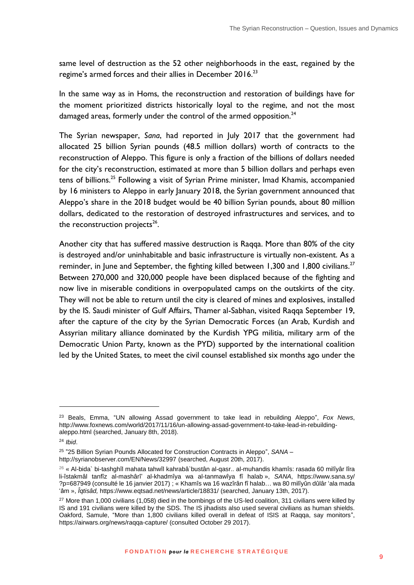same level of destruction as the 52 other neighborhoods in the east, regained by the regime's armed forces and their allies in December 2016.<sup>23</sup>

In the same way as in Homs, the reconstruction and restoration of buildings have for the moment prioritized districts historically loyal to the regime, and not the most damaged areas, formerly under the control of the armed opposition. $24$ 

The Syrian newspaper, *Sana*, had reported in July 2017 that the government had allocated 25 billion Syrian pounds (48.5 million dollars) worth of contracts to the reconstruction of Aleppo. This figure is only a fraction of the billions of dollars needed for the city's reconstruction, estimated at more than 5 billion dollars and perhaps even tens of billions.<sup>25</sup> Following a visit of Syrian Prime minister, Imad Khamis, accompanied by 16 ministers to Aleppo in early January 2018, the Syrian government announced that Aleppo's share in the 2018 budget would be 40 billion Syrian pounds, about 80 million dollars, dedicated to the restoration of destroyed infrastructures and services, and to the reconstruction projects $^{26}$ .

Another city that has suffered massive destruction is Raqqa. More than 80% of the city is destroyed and/or uninhabitable and basic infrastructure is virtually non-existent. As a reminder, in June and September, the fighting killed between 1,300 and 1,800 civilians.<sup>27</sup> Between 270,000 and 320,000 people have been displaced because of the fighting and now live in miserable conditions in overpopulated camps on the outskirts of the city. They will not be able to return until the city is cleared of mines and explosives, installed by the IS. Saudi minister of Gulf Affairs, Thamer al-Sabhan, visited Raqqa September 19, after the capture of the city by the Syrian Democratic Forces (an Arab, Kurdish and Assyrian military alliance dominated by the Kurdish YPG militia, military arm of the Democratic Union Party, known as the PYD) supported by the international coalition led by the United States, to meet the civil counsel established six months ago under the

<sup>23</sup> Beals, Emma, "UN allowing Assad government to take lead in rebuilding Aleppo", *Fox News*, [http://www.foxnews.com/world/2017/11/16/un-allowing-assad-government-to-take-lead-in-rebuilding](http://www.foxnews.com/world/2017/11/16/un-allowing-assad-government-to-take-lead-in-rebuilding-aleppo.html)[aleppo.html](http://www.foxnews.com/world/2017/11/16/un-allowing-assad-government-to-take-lead-in-rebuilding-aleppo.html) (searched, January 8th, 2018).

<sup>24</sup> *Ibid*.

<sup>25</sup> "25 Billion Syrian Pounds Allocated for Construction Contracts in Aleppo", *SANA* – <http://syrianobserver.com/EN/News/32997> (searched, August 20th, 2017).

<sup>26</sup> « Al-bida` bi-tashghîl mahata tahwîl kahrabâ`bustân al-qasr.. al-muhandis khamîs: rasada 60 milîyâr lîra li-îstakmâl tanfîz al-mashârî' al-khadmîya wa al-tanmawîya fî halab », *SANA*, [https://www.sana.sy/](https://www.sana.sy/%2520?p=687949)  [?p=687949](https://www.sana.sy/%2520?p=687949) (consulté le 16 janvier 2017) ; « Khamîs wa 16 wazîrân fî halab… wa 80 milîyûn dûlâr 'ala mada 'âm », *Îqtisâd,* <https://www.eqtsad.net/news/article/18831/> (searched, January 13th, 2017).

<sup>&</sup>lt;sup>27</sup> More than 1,000 civilians (1,058) died in the bombings of the US-led coalition, 311 civilians were killed by IS and 191 civilians were killed by the SDS. The IS jihadists also used several civilians as human shields. Oakford, Samule, "More than 1,800 civilians killed overall in defeat of ISIS at Raqqa, say monitors", <https://airwars.org/news/raqqa-capture/> (consulted October 29 2017).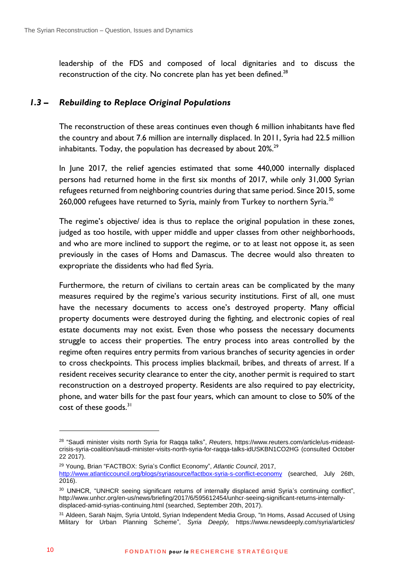<span id="page-9-0"></span>leadership of the FDS and composed of local dignitaries and to discuss the reconstruction of the city. No concrete plan has yet been defined. $^{28}$ 

#### *1.3 – Rebuilding to Replace Original Populations*

The reconstruction of these areas continues even though 6 million inhabitants have fled the country and about 7.6 million are internally displaced. In 2011, Syria had 22.5 million inhabitants. Today, the population has decreased by about  $20\%$ <sup>29</sup>

In June 2017, the relief agencies estimated that some 440,000 internally displaced persons had returned home in the first six months of 2017, while only 31,000 Syrian refugees returned from neighboring countries during that same period. Since 2015, some 260,000 refugees have returned to Syria, mainly from Turkey to northern Syria.<sup>30</sup>

The regime's objective/ idea is thus to replace the original population in these zones, judged as too hostile, with upper middle and upper classes from other neighborhoods, and who are more inclined to support the regime, or to at least not oppose it, as seen previously in the cases of Homs and Damascus. The decree would also threaten to expropriate the dissidents who had fled Syria.

Furthermore, the return of civilians to certain areas can be complicated by the many measures required by the regime's various security institutions. First of all, one must have the necessary documents to access one's destroyed property. Many official property documents were destroyed during the fighting, and electronic copies of real estate documents may not exist. Even those who possess the necessary documents struggle to access their properties. The entry process into areas controlled by the regime often requires entry permits from various branches of security agencies in order to cross checkpoints. This process implies blackmail, bribes, and threats of arrest. If a resident receives security clearance to enter the city, another permit is required to start reconstruction on a destroyed property. Residents are also required to pay electricity, phone, and water bills for the past four years, which can amount to close to 50% of the cost of these goods.<sup>31</sup>

<sup>28</sup> "Saudi minister visits north Syria for Raqqa talks", *Reuters,* [https://www.reuters.com/article/us-mideast](https://www.reuters.com/article/us-mideast-crisis-syria-coalition/saudi-minister-visits-north-syria-for-raqqa-talks-idUSKBN1CO2HG)[crisis-syria-coalition/saudi-minister-visits-north-syria-for-raqqa-talks-idUSKBN1CO2HG](https://www.reuters.com/article/us-mideast-crisis-syria-coalition/saudi-minister-visits-north-syria-for-raqqa-talks-idUSKBN1CO2HG) (consulted October 22 2017).

<sup>29</sup> Young, Brian "FACTBOX: Syria's Conflict Economy", *Atlantic Council*, 2017,

<http://www.atlanticcouncil.org/blogs/syriasource/factbox-syria-s-conflict-economy> (searched, July 26th, 2016).

<sup>30</sup> UNHCR, "UNHCR seeing significant returns of internally displaced amid Syria's continuing conflict", [http://www.unhcr.org/en-us/news/briefing/2017/6/595612454/unhcr-seeing-significant-returns-internally](http://www.unhcr.org/en-us/news/briefing/2017/6/595612454/unhcr-seeing-significant-returns-internally-displaced-amid-syrias-continuing.html)[displaced-amid-syrias-continuing.html](http://www.unhcr.org/en-us/news/briefing/2017/6/595612454/unhcr-seeing-significant-returns-internally-displaced-amid-syrias-continuing.html) (searched, September 20th, 2017).

<sup>31</sup> Aldeen, Sarah Najm, Syria Untold, Syrian Independent Media Group, "In Homs, Assad Accused of Using Military for Urban Planning Scheme", *Syria Deeply,* [https://www.newsdeeply.com/syria/articles/](https://www.newsdeeply.com/syria/articles/%25202018/01/02/in-homs-assad-accused-of-using-military-for-urban-planning-scheme)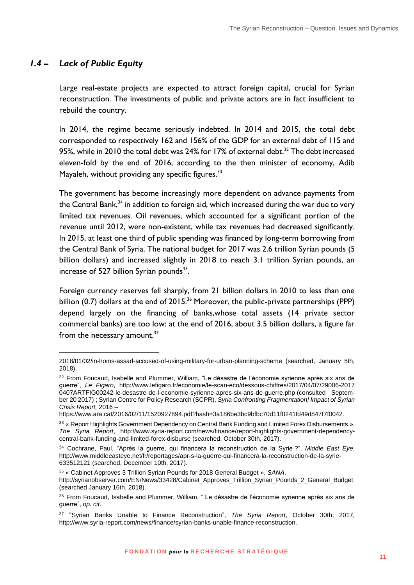#### *1.4 – Lack of Public Equity*

1

<span id="page-10-0"></span>Large real-estate projects are expected to attract foreign capital, crucial for Syrian reconstruction. The investments of public and private actors are in fact insufficient to rebuild the country.

In 2014, the regime became seriously indebted. In 2014 and 2015, the total debt corresponded to respectively 162 and 156% of the GDP for an external debt of 115 and 95%, while in 2010 the total debt was 24% for 17% of external debt.<sup>32</sup> The debt increased eleven-fold by the end of 2016, according to the then minister of economy, Adib Mayaleh, without providing any specific figures. $33$ 

The government has become increasingly more dependent on advance payments from the Central Bank, $34$  in addition to foreign aid, which increased during the war due to very limited tax revenues. Oil revenues, which accounted for a significant portion of the revenue until 2012, were non-existent, while tax revenues had decreased significantly. In 2015, at least one third of public spending was financed by long-term borrowing from the Central Bank of Syria. The national budget for 2017 was 2.6 trillion Syrian pounds (5 billion dollars) and increased slightly in 2018 to reach 3.1 trillion Syrian pounds, an increase of 527 billion Syrian pounds $35$ .

Foreign currency reserves fell sharply, from 21 billion dollars in 2010 to less than one billion  $(0.7)$  dollars at the end of  $2015$ <sup>36</sup> Moreover, the public-private partnerships (PPP) depend largely on the financing of banks,whose total assets (14 private sector commercial banks) are too low: at the end of 2016, about 3.5 billion dollars, a figure far from the necessary amount.<sup>37</sup>

[<sup>2018/01/02/</sup>in-homs-assad-accused-of-using-military-for-urban-planning-scheme](https://www.newsdeeply.com/syria/articles/%25202018/01/02/in-homs-assad-accused-of-using-military-for-urban-planning-scheme) (searched, January 5th, 2018).

<sup>32</sup> From Foucaud, Isabelle and Plummer, William, "Le désastre de l'économie syrienne après six ans de guerre", *Le Figaro*, [http://www.lefigaro.fr/economie/le-scan-eco/dessous-chiffres/2017/04/07/29006-2017](http://www.lefigaro.fr/economie/le-scan-eco/dessous-chiffres/2017/04/07/29006-2017%25200407ARTFIG00242-le-desastre-de-l-economie-syrienne-apres-six-ans-de-guerre.php)  [0407ARTFIG00242-le-desastre-de-l-economie-syrienne-apres-six-ans-de-guerre.php](http://www.lefigaro.fr/economie/le-scan-eco/dessous-chiffres/2017/04/07/29006-2017%25200407ARTFIG00242-le-desastre-de-l-economie-syrienne-apres-six-ans-de-guerre.php) (consulted September 20 2017) ; Syrian Centre for Policy Research (SCPR), *Syria Confronting Fragmentation! Impact of Syrian Crisis Report,* 2016 –

[https://www.ara.cat/2016/02/11/1520927894.pdf?hash=3a186be3bc9bfbc70d11f0241fd49d847f7f0042.](https://www.ara.cat/2016/02/11/1520927894.pdf?hash=3a186be3bc9bfbc70d11f0241fd49d847f7f0042)

<sup>33 «</sup> Report Highlights Government Dependency on Central Bank Funding and Limited Forex Disbursements », *The Syria Report*, [http://www.syria-report.com/news/finance/report-highlights-government-dependency](http://www.syria-report.com/news/finance/report-highlights-government-dependency-central-bank-funding-and-limited-forex-disburse)[central-bank-funding-and-limited-forex-disburse](http://www.syria-report.com/news/finance/report-highlights-government-dependency-central-bank-funding-and-limited-forex-disburse) (searched, October 30th, 2017).

<sup>34</sup> Cochrane, Paul, "Après la guerre, qui financera la reconstruction de la Syrie ?", *Middle East Eye*, [http://www.middleeasteye.net/fr/reportages/apr-s-la-guerre-qui-financera-la-reconstruction-de-la-syrie-](http://www.middleeasteye.net/fr/reportages/apr-s-la-guerre-qui-financera-la-reconstruction-de-la-syrie-633512121)[633512121](http://www.middleeasteye.net/fr/reportages/apr-s-la-guerre-qui-financera-la-reconstruction-de-la-syrie-633512121) (searched, December 10th, 2017).

<sup>35</sup> « Cabinet Approves 3 Trillion Syrian Pounds for 2018 General Budget », *SANA*,

[http://syrianobserver.com/EN/News/33428/Cabinet\\_Approves\\_Trillion\\_Syrian\\_Pounds\\_2\\_General\\_Budget](http://syrianobserver.com/EN/News/33428/Cabinet_Approves_Trillion_Syrian_Pounds_2_General_Budget) (searched January 16th, 2018).

<sup>36</sup> From Foucaud, Isabelle and Plummer, William, "Le désastre de l'économie syrienne après six ans de guerre", *op. cit*.

<sup>37</sup> "Syrian Banks Unable to Finance Reconstruction", *The Syria Report*, October 30th, 2017, [http://www.syria-report.com/news/finance/syrian-banks-unable-finance-reconstruction.](http://www.syria-report.com/news/finance/syrian-banks-unable-finance-reconstruction)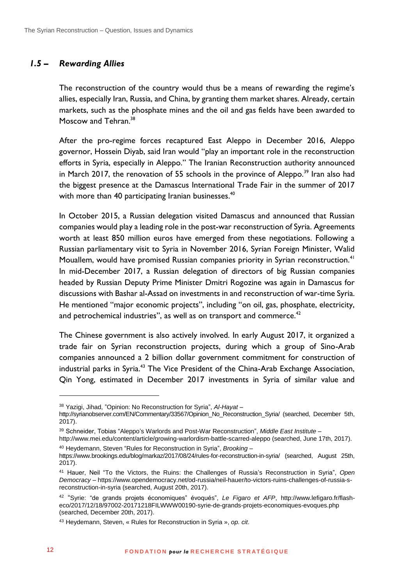#### *1.5 – Rewarding Allies*

<span id="page-11-0"></span>The reconstruction of the country would thus be a means of rewarding the regime's allies, especially Iran, Russia, and China, by granting them market shares. Already, certain markets, such as the phosphate mines and the oil and gas fields have been awarded to Moscow and Tehran.<sup>38</sup>

After the pro-regime forces recaptured East Aleppo in December 2016, Aleppo governor, Hossein Diyab, said Iran would "play an important role in the reconstruction efforts in Syria, especially in Aleppo." The Iranian Reconstruction authority announced in March 2017, the renovation of 55 schools in the province of Aleppo.<sup>39</sup> Iran also had the biggest presence at the Damascus International Trade Fair in the summer of 2017 with more than 40 participating Iranian businesses.<sup>40</sup>

In October 2015, a Russian delegation visited Damascus and announced that Russian companies would play a leading role in the post-war reconstruction of Syria. Agreements worth at least 850 million euros have emerged from these negotiations. Following a Russian parliamentary visit to Syria in November 2016, Syrian Foreign Minister, Walid Mouallem, would have promised Russian companies priority in Syrian reconstruction.<sup>41</sup> In mid-December 2017, a Russian delegation of directors of big Russian companies headed by Russian Deputy Prime Minister Dmitri Rogozine was again in Damascus for discussions with Bashar al-Assad on investments in and reconstruction of war-time Syria. He mentioned "major economic projects", including "on oil, gas, phosphate, electricity, and petrochemical industries", as well as on transport and commerce. $42$ 

The Chinese government is also actively involved. In early August 2017, it organized a trade fair on Syrian reconstruction projects, during which a group of Sino-Arab companies announced a 2 billion dollar government commitment for construction of industrial parks in Syria.<sup>43</sup> The Vice President of the China-Arab Exchange Association, Qin Yong, estimated in December 2017 investments in Syria of similar value and

<sup>38</sup> Yazigi, Jihad, "Opinion: No Reconstruction for Syria", *Al-Hayat* –

[http://syrianobserver.com/EN/Commentary/33567/Opinion\\_No\\_Reconstruction\\_Syria/](http://syrianobserver.com/EN/Commentary/33567/Opinion_No_Reconstruction_Syria/) (searched, December 5th, 2017).

<sup>39</sup> Schneider, Tobias "Aleppo's Warlords and Post-War Reconstruction", *Middle East Institute* –

<http://www.mei.edu/content/article/growing-warlordism-battle-scarred-aleppo> (searched, June 17th, 2017). <sup>40</sup> Heydemann, Steven "Rules for Reconstruction in Syria", *Brooking –*

<https://www.brookings.edu/blog/markaz/2017/08/24/rules-for-reconstruction-in-syria/> (searched, August 25th, 2017).

<sup>41</sup> Hauer, Neil "To the Victors, the Ruins: the Challenges of Russia's Reconstruction in Syria", *Open Democracy* – [https://www.opendemocracy.net/od-russia/neil-hauer/to-victors-ruins-challenges-of-russia-s](https://www.opendemocracy.net/od-russia/neil-hauer/to-victors-ruins-challenges-of-russia-s-reconstruction-in-syria)[reconstruction-in-syria](https://www.opendemocracy.net/od-russia/neil-hauer/to-victors-ruins-challenges-of-russia-s-reconstruction-in-syria) (searched, August 20th, 2017).

<sup>42</sup> "Syrie: "de grands projets économiques" évoqués", *Le Figaro et AFP*, [http://www.lefigaro.fr/flash](http://www.lefigaro.fr/flash-eco/2017/12/18/97002-20171218FILWWW00190-syrie-de-grands-projets-economiques-evoques.php)[eco/2017/12/18/97002-20171218FILWWW00190-syrie-de-grands-projets-economiques-evoques.php](http://www.lefigaro.fr/flash-eco/2017/12/18/97002-20171218FILWWW00190-syrie-de-grands-projets-economiques-evoques.php) (searched, December 20th, 2017).

<sup>43</sup> Heydemann, Steven, « Rules for Reconstruction in Syria », *op. cit*.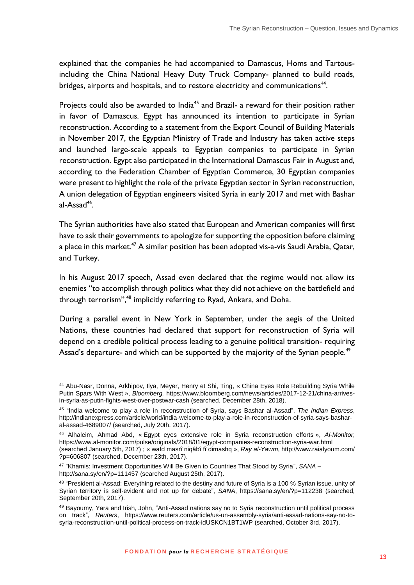explained that the companies he had accompanied to Damascus, Homs and Tartousincluding the China National Heavy Duty Truck Company- planned to build roads, bridges, airports and hospitals, and to restore electricity and communications<sup>44</sup>.

Projects could also be awarded to India<sup>45</sup> and Brazil- a reward for their position rather in favor of Damascus. Egypt has announced its intention to participate in Syrian reconstruction. According to a statement from the Export Council of Building Materials in November 2017, the Egyptian Ministry of Trade and Industry has taken active steps and launched large-scale appeals to Egyptian companies to participate in Syrian reconstruction. Egypt also participated in the International Damascus Fair in August and, according to the Federation Chamber of Egyptian Commerce, 30 Egyptian companies were present to highlight the role of the private Egyptian sector in Syrian reconstruction, A union delegation of Egyptian engineers visited Syria in early 2017 and met with Bashar al-Assad<sup>46</sup>.

The Syrian authorities have also stated that European and American companies will first have to ask their governments to apologize for supporting the opposition before claiming a place in this market.<sup>47</sup> A similar position has been adopted vis-a-vis Saudi Arabia, Qatar, and Turkey.

In his August 2017 speech, Assad even declared that the regime would not allow its enemies "to accomplish through politics what they did not achieve on the battlefield and through terrorism",<sup>48</sup> implicitly referring to Ryad, Ankara, and Doha.

During a parallel event in New York in September, under the aegis of the United Nations, these countries had declared that support for reconstruction of Syria will depend on a credible political process leading to a genuine political transition- requiring Assad's departure- and which can be supported by the majority of the Syrian people.<sup>49</sup>

<sup>44</sup> Abu-Nasr, Donna, Arkhipov, Ilya, Meyer, Henry et Shi, Ting, « China Eyes Role Rebuilding Syria While Putin Spars With West », *Bloomberg,* [https://www.bloomberg.com/news/articles/2017-12-21/china-arrives](https://www.bloomberg.com/news/articles/2017-12-21/china-arrives-in-syria-as-putin-fights-west-over-postwar-cash)[in-syria-as-putin-fights-west-over-postwar-cash](https://www.bloomberg.com/news/articles/2017-12-21/china-arrives-in-syria-as-putin-fights-west-over-postwar-cash) (searched, December 28th, 2018).

<sup>45</sup> "India welcome to play a role in reconstruction of Syria, says Bashar al-Assad", *The Indian Express*, [http://indianexpress.com/article/world/india-welcome-to-play-a-role-in-reconstruction-of-syria-says-bashar](http://indianexpress.com/article/world/india-welcome-to-play-a-role-in-reconstruction-of-syria-says-bashar-al-assad-4689007/)[al-assad-4689007/](http://indianexpress.com/article/world/india-welcome-to-play-a-role-in-reconstruction-of-syria-says-bashar-al-assad-4689007/) (searched, July 20th, 2017).

<sup>46</sup> Alhaleim, Ahmad Abd, « Egypt eyes extensive role in Syria reconstruction efforts », *Al-Monitor*, <https://www.al-monitor.com/pulse/originals/2018/01/egypt-companies-reconstruction-syria-war.html> (searched January 5th, 2017) ; « wafd masrî niqâbî fî dimashq », *Ray al-Yawm*[, http://www.raialyoum.com/](http://www.raialyoum.com/%2520?p=606807)  [?p=606807](http://www.raialyoum.com/%2520?p=606807) (searched, December 23th, 2017).

<sup>47</sup> "Khamis: Investment Opportunities Will Be Given to Countries That Stood by Syria", *SANA* – <http://sana.sy/en/?p=111457> (searched August 25th, 2017).

<sup>&</sup>lt;sup>48</sup> "President al-Assad: Everything related to the destiny and future of Syria is a 100 % Syrian issue, unity of Syrian territory is self-evident and not up for debate", *SANA*,<https://sana.sy/en/?p=112238> (searched, September 20th, 2017).

<sup>49</sup> Bayoumy, Yara and Irish, John, "Anti-Assad nations say no to Syria reconstruction until political process on track", *Reuters*, [https://www.reuters.com/article/us-un-assembly-syria/anti-assad-nations-say-no-to](https://www.reuters.com/article/us-un-assembly-syria/anti-assad-nations-say-no-to-syria-reconstruction-until-political-process-on-track-idUSKCN1BT1WP)[syria-reconstruction-until-political-process-on-track-idUSKCN1BT1WP](https://www.reuters.com/article/us-un-assembly-syria/anti-assad-nations-say-no-to-syria-reconstruction-until-political-process-on-track-idUSKCN1BT1WP) (searched, October 3rd, 2017).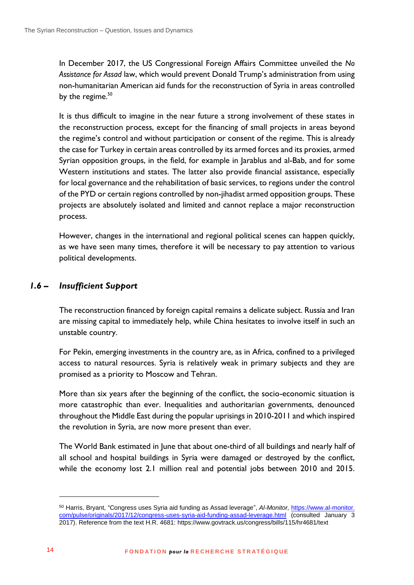In December 2017, the US Congressional Foreign Affairs Committee unveiled the *No Assistance for Assad* law, which would prevent Donald Trump's administration from using non-humanitarian American aid funds for the reconstruction of Syria in areas controlled by the regime.<sup>50</sup>

It is thus difficult to imagine in the near future a strong involvement of these states in the reconstruction process, except for the financing of small projects in areas beyond the regime's control and without participation or consent of the regime. This is already the case for Turkey in certain areas controlled by its armed forces and its proxies, armed Syrian opposition groups, in the field, for example in Jarablus and al-Bab, and for some Western institutions and states. The latter also provide financial assistance, especially for local governance and the rehabilitation of basic services, to regions under the control of the PYD or certain regions controlled by non-jihadist armed opposition groups. These projects are absolutely isolated and limited and cannot replace a major reconstruction process.

However, changes in the international and regional political scenes can happen quickly, as we have seen many times, therefore it will be necessary to pay attention to various political developments.

#### <span id="page-13-0"></span>*1.6 – Insufficient Support*

The reconstruction financed by foreign capital remains a delicate subject. Russia and Iran are missing capital to immediately help, while China hesitates to involve itself in such an unstable country.

For Pekin, emerging investments in the country are, as in Africa, confined to a privileged access to natural resources. Syria is relatively weak in primary subjects and they are promised as a priority to Moscow and Tehran.

More than six years after the beginning of the conflict, the socio-economic situation is more catastrophic than ever. Inequalities and authoritarian governments, denounced throughout the Middle East during the popular uprisings in 2010-2011 and which inspired the revolution in Syria, are now more present than ever.

The World Bank estimated in June that about one-third of all buildings and nearly half of all school and hospital buildings in Syria were damaged or destroyed by the conflict, while the economy lost 2.1 million real and potential jobs between 2010 and 2015.

 $\overline{a}$ 

<sup>50</sup> Harris, Bryant, "Congress uses Syria aid funding as Assad leverage", *Al-Monitor,* https://www.al-monitor. com/pulse/originals/2017/12/congress-uses-syria-aid-funding-assad-leverage.html (consulted January 3 2017). Reference from the text H.R. 4681:<https://www.govtrack.us/congress/bills/115/hr4681/text>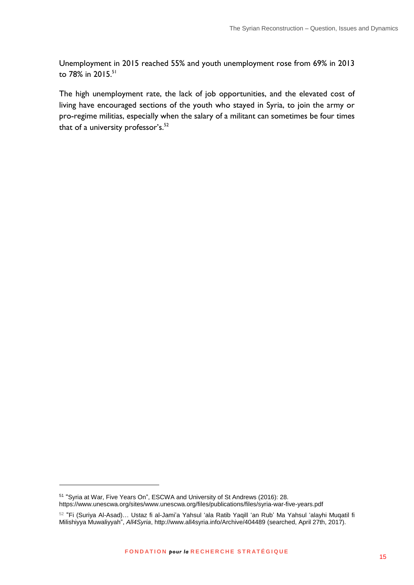Unemployment in 2015 reached 55% and youth unemployment rose from 69% in 2013 to  $78\%$  in  $2015^{51}$ 

The high unemployment rate, the lack of job opportunities, and the elevated cost of living have encouraged sections of the youth who stayed in Syria, to join the army or pro-regime militias, especially when the salary of a militant can sometimes be four times that of a university professor's. $52$ 

<sup>51</sup> "Syria at War, Five Years On", ESCWA and University of St Andrews (2016): 28. <https://www.unescwa.org/sites/www.unescwa.org/files/publications/files/syria-war-five-years.pdf>

 $^{52}$  "Fi (Suriya Al-Asad)… Ustaz fi al-Jami'a Yahsul 'ala Ratib Yaqill 'an Rub' Ma Yahsul 'alayhi Muqatil fi Milishiyya Muwaliyyah", *All4Syria*,<http://www.all4syria.info/Archive/404489> (searched, April 27th, 2017).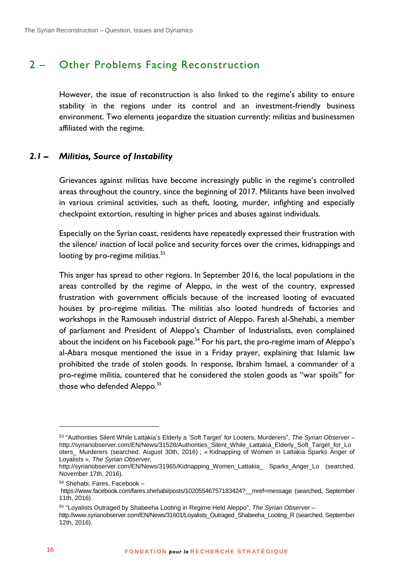## <span id="page-15-0"></span>2 – Other Problems Facing Reconstruction

However, the issue of reconstruction is also linked to the regime's ability to ensure stability in the regions under its control and an investment-friendly business environment. Two elements jeopardize the situation currently: militias and businessmen affiliated with the regime.

#### <span id="page-15-1"></span>*2.1 – Militias, Source of Instability*

Grievances against militias have become increasingly public in the regime's controlled areas throughout the country, since the beginning of 2017. Militants have been involved in various criminal activities, such as theft, looting, murder, infighting and especially checkpoint extortion, resulting in higher prices and abuses against individuals.

Especially on the Syrian coast, residents have repeatedly expressed their frustration with the silence/ inaction of local police and security forces over the crimes, kidnappings and looting by pro-regime militias. $53$ 

This anger has spread to other regions. In September 2016, the local populations in the areas controlled by the regime of Aleppo, in the west of the country, expressed frustration with government officials because of the increased looting of evacuated houses by pro-regime militias. The militias also looted hundreds of factories and workshops in the Ramouseh industrial district of Aleppo. Faresh al-Shehabi, a member of parliament and President of Aleppo's Chamber of Industrialists, even complained about the incident on his Facebook page.<sup>54</sup> For his part, the pro-regime imam of Aleppo's al-Abara mosque mentioned the issue in a Friday prayer, explaining that Islamic law prohibited the trade of stolen goods. In response, Ibrahim Ismael, a commander of a pro-regime militia, countered that he considered the stolen goods as "war spoils" for those who defended Aleppo.<sup>55</sup>

<sup>53</sup> "Authorities Silent While Lattakia's Elderly a 'Soft Target' for Looters, Murderers", *The Syrian Observer –* [http://syrianobserver.com/EN/News/31528/Authorities\\_Silent\\_While\\_Lattakia\\_Elderly\\_Soft\\_Target\\_for\\_Lo](http://syrianobserver.com/EN/News/31528/Authorities_Silent_While_Lattakia_Elderly_Soft_Target_for_Looters_%2520Murderers) [oters\\_ Murderers](http://syrianobserver.com/EN/News/31528/Authorities_Silent_While_Lattakia_Elderly_Soft_Target_for_Looters_%2520Murderers) (searched, August 30th, 2016) ; « Kidnapping of Women in Lattakia Sparks Anger of Loyalists », *The Syrian Observer,*

[http://syrianobserver.com/EN/News/31965/Kidnapping\\_Women\\_Lattakia\\_ Sparks\\_Anger\\_Lo](http://syrianobserver.com/EN/News/31965/Kidnapping_Women_Lattakia_%2520Sparks_Anger_Lo) (searched, November 17th, 2016).

<sup>54</sup> Shehabi, Fares, Facebook –

https://www.facebook.com/fares.shehabi/posts/10205546757183424? mref=message (searched, September 11th, 2016).

<sup>55</sup> "Loyalists Outraged by Shabeeha Looting in Regime Held Aleppo", *The Syrian Observer* –

[http://www.syrianobserver.com/EN/News/31601/Loyalists\\_Outraged\\_Shabeeha\\_Looting\\_R](http://www.syrianobserver.com/EN/News/31601/Loyalists_Outraged_Shabeeha_Looting_R) (searched, September 12th, 2016).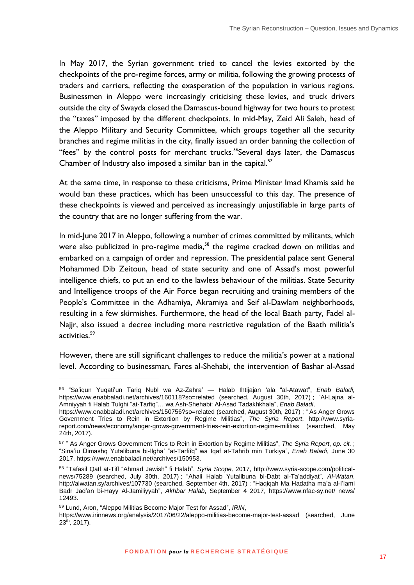In May 2017, the Syrian government tried to cancel the levies extorted by the checkpoints of the pro-regime forces, army or militia, following the growing protests of traders and carriers, reflecting the exasperation of the population in various regions. Businessmen in Aleppo were increasingly criticising these levies, and truck drivers outside the city of Swayda closed the Damascus-bound highway for two hours to protest the "taxes" imposed by the different checkpoints. In mid-May, Zeid Ali Saleh, head of the Aleppo Military and Security Committee, which groups together all the security branches and regime militias in the city, finally issued an order banning the collection of "fees" by the control posts for merchant trucks.<sup>56</sup>Several days later, the Damascus Chamber of Industry also imposed a similar ban in the capital. $57$ 

At the same time, in response to these criticisms, Prime Minister Imad Khamis said he would ban these practices, which has been unsuccessful to this day. The presence of these checkpoints is viewed and perceived as increasingly unjustifiable in large parts of the country that are no longer suffering from the war.

In mid-June 2017 in Aleppo, following a number of crimes committed by militants, which were also publicized in pro-regime media,<sup>58</sup> the regime cracked down on militias and embarked on a campaign of order and repression. The presidential palace sent General Mohammed Dib Zeitoun, head of state security and one of Assad's most powerful intelligence chiefs, to put an end to the lawless behaviour of the militias. State Security and Intelligence troops of the Air Force began recruiting and training members of the People's Committee in the Adhamiya, Akramiya and Seif al-Dawlam neighborhoods, resulting in a few skirmishes. Furthermore, the head of the local Baath party, Fadel al-Najjr, also issued a decree including more restrictive regulation of the Baath militia's activities.<sup>59</sup>

However, there are still significant challenges to reduce the militia's power at a national level. According to businessman, Fares al-Shehabi, the intervention of Bashar al-Assad

<sup>56</sup> "Sa'iqun Yuqati'un Tariq Nubl wa Az-Zahra' — Halab Ihtijajan 'ala "al-Atawat", *Enab Baladi,* <https://www.enabbaladi.net/archives/160118?so=related> (searched, August 30th, 2017) ; "Al-Lajna al-Amniyyah fi Halab Tulghi "at-Tarfiq"… wa Ash-Shehabi: Al-Asad Tadakhkhala", *Enab Baladi,*

<https://www.enabbaladi.net/archives/150756?so=related> (searched, August 30th, 2017) ; " As Anger Grows Government Tries to Rein in Extortion by Regime Militias", *The Syria Report*, [http://www.syria](http://www.syria-report.com/news/economy/anger-grows-government-tries-rein-extortion-regime-militias)[report.com/news/economy/anger-grows-government-tries-rein-extortion-regime-militias](http://www.syria-report.com/news/economy/anger-grows-government-tries-rein-extortion-regime-militias) (searched, May 24th, 2017).

<sup>57</sup> " As Anger Grows Government Tries to Rein in Extortion by Regime Militias", *The Syria Report*, *op. cit.* ; "Sina'iu Dimashq Yutalibuna bi-Ilgha' "at-Tarfiîq" wa Iqaf at-Tahrib min Turkiya", *Enab Baladi*, June 30 2017, [https://www.enabbaladi.net/archives/150953.](https://www.enabbaladi.net/archives/150953)

<sup>58</sup> "Tafasil Qatl at-Tifl "Ahmad Jawish" fi Halab", *Syria Scope,* 2017, [http://www.syria-scope.com/political](http://www.syria-scope.com/political-news/75289)[news/75289](http://www.syria-scope.com/political-news/75289) (searched, July 30th, 2017) ; "Ahali Halab Yutalibuna bi-Dabt al-Ta'addiyat", *Al-Watan*, <http://alwatan.sy/archives/107730> (searched, September 4th, 2017) ; "Haqiqah Ma Hadatha ma'a al-I'lami Badr Jad'an bi-Hayy Al-Jamiliyyah", *Akhbar Halab*, September 4 2017, [https://www.nfac-sy.net/ news/](https://www.nfac-sy.net/%2520news/12493)  [12493.](https://www.nfac-sy.net/%2520news/12493)

<sup>59</sup> Lund, Aron, "Aleppo Militias Become Major Test for Assad", *IRIN*,

<https://www.irinnews.org/analysis/2017/06/22/aleppo-militias-become-major-test-assad> (searched, June  $23<sup>th</sup>$ , 2017).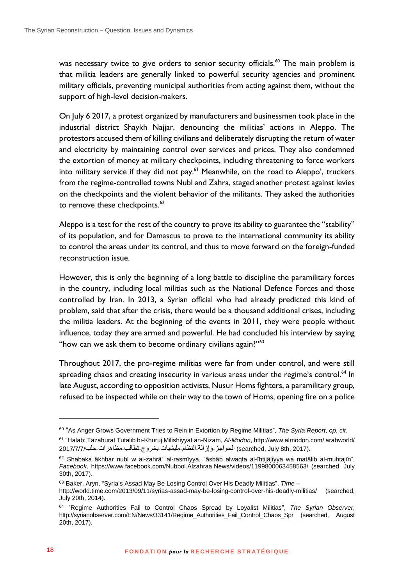was necessary twice to give orders to senior security officials.<sup>60</sup> The main problem is that militia leaders are generally linked to powerful security agencies and prominent military officials, preventing municipal authorities from acting against them, without the support of high-level decision-makers.

On July 6 2017, a protest organized by manufacturers and businessmen took place in the industrial district Shaykh Najjar, denouncing the militias' actions in Aleppo. The protestors accused them of killing civilians and deliberately disrupting the return of water and electricity by maintaining control over services and prices. They also condemned the extortion of money at military checkpoints, including threatening to force workers into military service if they did not pay.<sup>61</sup> Meanwhile, on the road to Aleppo', truckers from the regime-controlled towns Nubl and Zahra, staged another protest against levies on the checkpoints and the violent behavior of the militants. They asked the authorities to remove these checkpoints.<sup>62</sup>

Aleppo is a test for the rest of the country to prove its ability to guarantee the "stability" of its population, and for Damascus to prove to the international community its ability to control the areas under its control, and thus to move forward on the foreign-funded reconstruction issue.

However, this is only the beginning of a long battle to discipline the paramilitary forces in the country, including local militias such as the National Defence Forces and those controlled by Iran. In 2013, a Syrian official who had already predicted this kind of problem, said that after the crisis, there would be a thousand additional crises, including the militia leaders. At the beginning of the events in 2011, they were people without influence, today they are armed and powerful. He had concluded his interview by saying "how can we ask them to become ordinary civilians again?"<sup>63</sup>

Throughout 2017, the pro-regime militias were far from under control, and were still spreading chaos and creating insecurity in various areas under the regime's control.<sup>64</sup> In late August, according to opposition activists, Nusur Homs fighters, a paramilitary group, refused to be inspected while on their way to the town of Homs, opening fire on a police

<sup>60</sup> "As Anger Grows Government Tries to Rein in Extortion by Regime Militias", *The Syria Report*, *op. cit.* 61 "Halab: Tazahurat Tutalib bi-Khuruj Milishiyyat an-Nizam, *Al-Modon*[, http://www.almodon.com/ arabworld/](http://www.almodon.com/%2520arabworld/2017/7/7/%25D8%25AD%25D9%2584%25D8%25A8-%25D9%2585%25D8%25B8%25D8%25A7%25D9%2587%25D8%25B1%25D8%25A7%25D8%25AA-%25D8%25AA%25D8%25B7%25D8%25A7%25D9%2584%25D8%25A8-%25D8%25A8%25D8%25AE%25D8%25B1%25D9%2588%25D8%25AC-%25D9%2585%25D9%2584%25D9%258A%25D8%25B4%25D9%258A%25D8%25A7%25D8%25AA-%25D8%25A7%25D9%2584%25D9%2586%25D8%25B8%25D8%25A7%25D9%2585-%25D9%2588%25D8%25A5%25D8%25B2%25D8%25A7%25D9%2584%25D8%25A9-%25D8%25A7%25D9%2584%25D8%25AD%25D9%2588%25D8%25A7%25D8%25AC%25D8%25B2) 

<sup>.(</sup>searched, July 8th, 2017) [الحواجز](http://www.almodon.com/%2520arabworld/2017/7/7/%25D8%25AD%25D9%2584%25D8%25A8-%25D9%2585%25D8%25B8%25D8%25A7%25D9%2587%25D8%25B1%25D8%25A7%25D8%25AA-%25D8%25AA%25D8%25B7%25D8%25A7%25D9%2584%25D8%25A8-%25D8%25A8%25D8%25AE%25D8%25B1%25D9%2588%25D8%25AC-%25D9%2585%25D9%2584%25D9%258A%25D8%25B4%25D9%258A%25D8%25A7%25D8%25AA-%25D8%25A7%25D9%2584%25D9%2586%25D8%25B8%25D8%25A7%25D9%2585-%25D9%2588%25D8%25A5%25D8%25B2%25D8%25A7%25D9%2584%25D8%25A9-%25D8%25A7%25D9%2584%25D8%25AD%25D9%2588%25D8%25A7%25D8%25AC%25D8%25B2)[-](http://www.almodon.com/%2520arabworld/2017/7/7/%25D8%25AD%25D9%2584%25D8%25A8-%25D9%2585%25D8%25B8%25D8%25A7%25D9%2587%25D8%25B1%25D8%25A7%25D8%25AA-%25D8%25AA%25D8%25B7%25D8%25A7%25D9%2584%25D8%25A8-%25D8%25A8%25D8%25AE%25D8%25B1%25D9%2588%25D8%25AC-%25D9%2585%25D9%2584%25D9%258A%25D8%25B4%25D9%258A%25D8%25A7%25D8%25AA-%25D8%25A7%25D9%2584%25D9%2586%25D8%25B8%25D8%25A7%25D9%2585-%25D9%2588%25D8%25A5%25D8%25B2%25D8%25A7%25D9%2584%25D8%25A9-%25D8%25A7%25D9%2584%25D8%25AD%25D9%2588%25D8%25A7%25D8%25AC%25D8%25B2)[وإزالة](http://www.almodon.com/%2520arabworld/2017/7/7/%25D8%25AD%25D9%2584%25D8%25A8-%25D9%2585%25D8%25B8%25D8%25A7%25D9%2587%25D8%25B1%25D8%25A7%25D8%25AA-%25D8%25AA%25D8%25B7%25D8%25A7%25D9%2584%25D8%25A8-%25D8%25A8%25D8%25AE%25D8%25B1%25D9%2588%25D8%25AC-%25D9%2585%25D9%2584%25D9%258A%25D8%25B4%25D9%258A%25D8%25A7%25D8%25AA-%25D8%25A7%25D9%2584%25D9%2586%25D8%25B8%25D8%25A7%25D9%2585-%25D9%2588%25D8%25A5%25D8%25B2%25D8%25A7%25D9%2584%25D8%25A9-%25D8%25A7%25D9%2584%25D8%25AD%25D9%2588%25D8%25A7%25D8%25AC%25D8%25B2)-[النظام](http://www.almodon.com/%2520arabworld/2017/7/7/%25D8%25AD%25D9%2584%25D8%25A8-%25D9%2585%25D8%25B8%25D8%25A7%25D9%2587%25D8%25B1%25D8%25A7%25D8%25AA-%25D8%25AA%25D8%25B7%25D8%25A7%25D9%2584%25D8%25A8-%25D8%25A8%25D8%25AE%25D8%25B1%25D9%2588%25D8%25AC-%25D9%2585%25D9%2584%25D9%258A%25D8%25B4%25D9%258A%25D8%25A7%25D8%25AA-%25D8%25A7%25D9%2584%25D9%2586%25D8%25B8%25D8%25A7%25D9%2585-%25D9%2588%25D8%25A5%25D8%25B2%25D8%25A7%25D9%2584%25D8%25A9-%25D8%25A7%25D9%2584%25D8%25AD%25D9%2588%25D8%25A7%25D8%25AC%25D8%25B2)-[مليشيات](http://www.almodon.com/%2520arabworld/2017/7/7/%25D8%25AD%25D9%2584%25D8%25A8-%25D9%2585%25D8%25B8%25D8%25A7%25D9%2587%25D8%25B1%25D8%25A7%25D8%25AA-%25D8%25AA%25D8%25B7%25D8%25A7%25D9%2584%25D8%25A8-%25D8%25A8%25D8%25AE%25D8%25B1%25D9%2588%25D8%25AC-%25D9%2585%25D9%2584%25D9%258A%25D8%25B4%25D9%258A%25D8%25A7%25D8%25AA-%25D8%25A7%25D9%2584%25D9%2586%25D8%25B8%25D8%25A7%25D9%2585-%25D9%2588%25D8%25A5%25D8%25B2%25D8%25A7%25D9%2584%25D8%25A9-%25D8%25A7%25D9%2584%25D8%25AD%25D9%2588%25D8%25A7%25D8%25AC%25D8%25B2)-[بخروج](http://www.almodon.com/%2520arabworld/2017/7/7/%25D8%25AD%25D9%2584%25D8%25A8-%25D9%2585%25D8%25B8%25D8%25A7%25D9%2587%25D8%25B1%25D8%25A7%25D8%25AA-%25D8%25AA%25D8%25B7%25D8%25A7%25D9%2584%25D8%25A8-%25D8%25A8%25D8%25AE%25D8%25B1%25D9%2588%25D8%25AC-%25D9%2585%25D9%2584%25D9%258A%25D8%25B4%25D9%258A%25D8%25A7%25D8%25AA-%25D8%25A7%25D9%2584%25D9%2586%25D8%25B8%25D8%25A7%25D9%2585-%25D9%2588%25D8%25A5%25D8%25B2%25D8%25A7%25D9%2584%25D8%25A9-%25D8%25A7%25D9%2584%25D8%25AD%25D9%2588%25D8%25A7%25D8%25AC%25D8%25B2)-[تطالب](http://www.almodon.com/%2520arabworld/2017/7/7/%25D8%25AD%25D9%2584%25D8%25A8-%25D9%2585%25D8%25B8%25D8%25A7%25D9%2587%25D8%25B1%25D8%25A7%25D8%25AA-%25D8%25AA%25D8%25B7%25D8%25A7%25D9%2584%25D8%25A8-%25D8%25A8%25D8%25AE%25D8%25B1%25D9%2588%25D8%25AC-%25D9%2585%25D9%2584%25D9%258A%25D8%25B4%25D9%258A%25D8%25A7%25D8%25AA-%25D8%25A7%25D9%2584%25D9%2586%25D8%25B8%25D8%25A7%25D9%2585-%25D9%2588%25D8%25A5%25D8%25B2%25D8%25A7%25D9%2584%25D8%25A9-%25D8%25A7%25D9%2584%25D8%25AD%25D9%2588%25D8%25A7%25D8%25AC%25D8%25B2)-[مظاهرات](http://www.almodon.com/%2520arabworld/2017/7/7/%25D8%25AD%25D9%2584%25D8%25A8-%25D9%2585%25D8%25B8%25D8%25A7%25D9%2587%25D8%25B1%25D8%25A7%25D8%25AA-%25D8%25AA%25D8%25B7%25D8%25A7%25D9%2584%25D8%25A8-%25D8%25A8%25D8%25AE%25D8%25B1%25D9%2588%25D8%25AC-%25D9%2585%25D9%2584%25D9%258A%25D8%25B4%25D9%258A%25D8%25A7%25D8%25AA-%25D8%25A7%25D9%2584%25D9%2586%25D8%25B8%25D8%25A7%25D9%2585-%25D9%2588%25D8%25A5%25D8%25B2%25D8%25A7%25D9%2584%25D8%25A9-%25D8%25A7%25D9%2584%25D8%25AD%25D9%2588%25D8%25A7%25D8%25AC%25D8%25B2)-[حلب](http://www.almodon.com/%2520arabworld/2017/7/7/%25D8%25AD%25D9%2584%25D8%25A8-%25D9%2585%25D8%25B8%25D8%25A7%25D9%2587%25D8%25B1%25D8%25A7%25D8%25AA-%25D8%25AA%25D8%25B7%25D8%25A7%25D9%2584%25D8%25A8-%25D8%25A8%25D8%25AE%25D8%25B1%25D9%2588%25D8%25AC-%25D9%2585%25D9%2584%25D9%258A%25D8%25B4%25D9%258A%25D8%25A7%25D8%25AA-%25D8%25A7%25D9%2584%25D9%2586%25D8%25B8%25D8%25A7%25D9%2585-%25D9%2588%25D8%25A5%25D8%25B2%25D8%25A7%25D9%2584%25D8%25A9-%25D8%25A7%25D9%2584%25D8%25AD%25D9%2588%25D8%25A7%25D8%25AC%25D8%25B2)/7/7/7/7/2017

 $62$  Shabaka âkhbar nubl w al-zahrâ` al-rasmîyya, "âsbâb alwaqfa al-îhtijâjîyya wa matâlib al-muhtajîn", *Facebook,* <https://www.facebook.com/Nubbol.Alzahraa.News/videos/1199800063458563/> (searched, July 30th, 2017).

<sup>63</sup> Baker, Aryn, "Syria's Assad May Be Losing Control Over His Deadly Militias", *Time –* <http://world.time.com/2013/09/11/syrias-assad-may-be-losing-control-over-his-deadly-militias/> (searched, July 20th, 2014).

<sup>64</sup> "Regime Authorities Fail to Control Chaos Spread by Loyalist Militias", *The Syrian Observer*, [http://syrianobserver.com/EN/News/33141/Regime\\_Authorities\\_Fail\\_Control\\_Chaos\\_Spr](http://syrianobserver.com/EN/News/33141/Regime_Authorities_Fail_Control_Chaos_Spr) (searched, August 20th, 2017).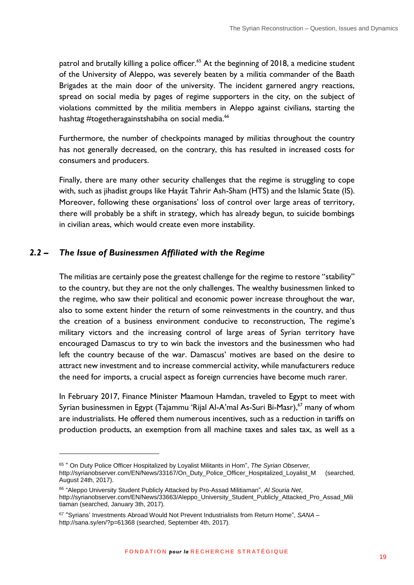patrol and brutally killing a police officer.<sup>65</sup> At the beginning of 2018, a medicine student of the University of Aleppo, was severely beaten by a militia commander of the Baath Brigades at the main door of the university. The incident garnered angry reactions, spread on social media by pages of regime supporters in the city, on the subject of violations committed by the militia members in Aleppo against civilians, starting the hashtag #togetheragainstshabiha on social media.<sup>66</sup>

Furthermore, the number of checkpoints managed by militias throughout the country has not generally decreased, on the contrary, this has resulted in increased costs for consumers and producers.

Finally, there are many other security challenges that the regime is struggling to cope with, such as jihadist groups like Hayát Tahrir Ash-Sham (HTS) and the Islamic State (IS). Moreover, following these organisations' loss of control over large areas of territory, there will probably be a shift in strategy, which has already begun, to suicide bombings in civilian areas, which would create even more instability.

#### <span id="page-18-0"></span>*2.2 – The Issue of Businessmen Affiliated with the Regime*

1

The militias are certainly pose the greatest challenge for the regime to restore "stability" to the country, but they are not the only challenges. The wealthy businessmen linked to the regime, who saw their political and economic power increase throughout the war, also to some extent hinder the return of some reinvestments in the country, and thus the creation of a business environment conducive to reconstruction, The regime's military victors and the increasing control of large areas of Syrian territory have encouraged Damascus to try to win back the investors and the businessmen who had left the country because of the war. Damascus' motives are based on the desire to attract new investment and to increase commercial activity, while manufacturers reduce the need for imports, a crucial aspect as foreign currencies have become much rarer.

In February 2017, Finance Minister Maamoun Hamdan, traveled to Egypt to meet with Syrian businessmen in Egypt (Tajammu 'Rijal Al-A'mal As-Suri Bi-Masr), <sup>67</sup> many of whom are industrialists. He offered them numerous incentives, such as a reduction in tariffs on production products, an exemption from all machine taxes and sales tax, as well as a

<sup>65</sup> " On Duty Police Officer Hospitalized by Loyalist Militants in Hom", *The Syrian Observer,* 

[http://syrianobserver.com/EN/News/33167/On\\_Duty\\_Police\\_Officer\\_Hospitalized\\_Loyalist\\_M](http://syrianobserver.com/EN/News/33167/On_Duty_Police_Officer_Hospitalized_Loyalist_M) (searched, August 24th, 2017).

<sup>66</sup> "Aleppo University Student Publicly Attacked by Pro-Assad Militiaman", *Al Souria Net*,

[http://syrianobserver.com/EN/News/33663/Aleppo\\_University\\_Student\\_Publicly\\_Attacked\\_Pro\\_Assad\\_Mili](http://syrianobserver.com/EN/News/33663/Aleppo_University_Student_Publicly_Attacked_Pro_Assad_Militiaman) [tiaman](http://syrianobserver.com/EN/News/33663/Aleppo_University_Student_Publicly_Attacked_Pro_Assad_Militiaman) (searched, January 3th, 2017).

<sup>67</sup> "Syrians' Investments Abroad Would Not Prevent Industrialists from Return Home", *SANA* – <http://sana.sy/en/?p=61368> (searched, September 4th, 2017).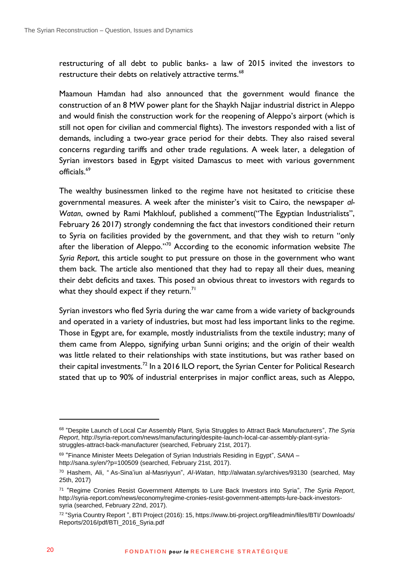restructuring of all debt to public banks- a law of 2015 invited the investors to restructure their debts on relatively attractive terms.<sup>68</sup>

Maamoun Hamdan had also announced that the government would finance the construction of an 8 MW power plant for the Shaykh Najjar industrial district in Aleppo and would finish the construction work for the reopening of Aleppo's airport (which is still not open for civilian and commercial flights). The investors responded with a list of demands, including a two-year grace period for their debts. They also raised several concerns regarding tariffs and other trade regulations. A week later, a delegation of Syrian investors based in Egypt visited Damascus to meet with various government officials.<sup>69</sup>

The wealthy businessmen linked to the regime have not hesitated to criticise these governmental measures. A week after the minister's visit to Cairo, the newspaper *al-Watan*, owned by Rami Makhlouf, published a comment("The Egyptian Industrialists", February 26 2017) strongly condemning the fact that investors conditioned their return to Syria on facilities provided by the government, and that they wish to return "only after the liberation of Aleppo."<sup>70</sup> According to the economic information website *The Syria Report*, this article sought to put pressure on those in the government who want them back. The article also mentioned that they had to repay all their dues, meaning their debt deficits and taxes. This posed an obvious threat to investors with regards to what they should expect if they return.<sup>71</sup>

Syrian investors who fled Syria during the war came from a wide variety of backgrounds and operated in a variety of industries, but most had less important links to the regime. Those in Egypt are, for example, mostly industrialists from the textile industry; many of them came from Aleppo, signifying urban Sunni origins; and the origin of their wealth was little related to their relationships with state institutions, but was rather based on their capital investments.<sup>72</sup> In a 2016 ILO report, the Syrian Center for Political Research stated that up to 90% of industrial enterprises in major conflict areas, such as Aleppo,

<sup>68</sup> "Despite Launch of Local Car Assembly Plant, Syria Struggles to Attract Back Manufacturers", *The Syria Report*, [http://syria-report.com/news/manufacturing/despite-launch-local-car-assembly-plant-syria](http://syria-report.com/news/manufacturing/despite-launch-local-car-assembly-plant-syria-struggles-attract-back-manufacturer)[struggles-attract-back-manufacturer](http://syria-report.com/news/manufacturing/despite-launch-local-car-assembly-plant-syria-struggles-attract-back-manufacturer) (searched, February 21st, 2017).

<sup>69</sup> "Finance Minister Meets Delegation of Syrian Industrials Residing in Egypt", *SANA* – <http://sana.sy/en/?p=100509> (searched, February 21st, 2017).

<sup>70</sup> Hashem, Ali, " As-Sina'iun al-Masriyyun", *Al-Watan*,<http://alwatan.sy/archives/93130> (searched, May 25th, 2017)

<sup>71</sup> "Regime Cronies Resist Government Attempts to Lure Back Investors into Syria", *The Syria Report*, [http://syria-report.com/news/economy/regime-cronies-resist-government-attempts-lure-back-investors](http://syria-report.com/news/economy/regime-cronies-resist-government-attempts-lure-back-investors-syria)[syria](http://syria-report.com/news/economy/regime-cronies-resist-government-attempts-lure-back-investors-syria) (searched, February 22nd, 2017).

<sup>&</sup>lt;sup>72</sup> "Syria Country Report ", BTI Project (2016): 15[, https://www.bti-project.org/fileadmin/files/BTI/ Downloads/](https://www.bti-project.org/fileadmin/files/BTI/%2520Downloads/Reports/2016/pdf/BTI_2016_Syria.pdf) [Reports/2016/pdf/BTI\\_2016\\_Syria.pdf](https://www.bti-project.org/fileadmin/files/BTI/%2520Downloads/Reports/2016/pdf/BTI_2016_Syria.pdf)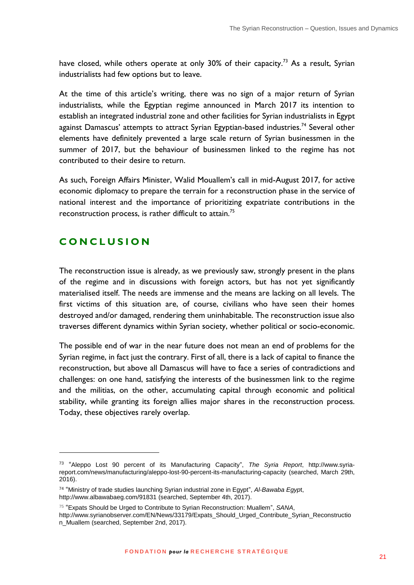have closed, while others operate at only 30% of their capacity.<sup>73</sup> As a result, Syrian industrialists had few options but to leave.

At the time of this article's writing, there was no sign of a major return of Syrian industrialists, while the Egyptian regime announced in March 2017 its intention to establish an integrated industrial zone and other facilities for Syrian industrialists in Egypt against Damascus' attempts to attract Syrian Egyptian-based industries.<sup>74</sup> Several other elements have definitely prevented a large scale return of Syrian businessmen in the summer of 2017, but the behaviour of businessmen linked to the regime has not contributed to their desire to return.

As such, Foreign Affairs Minister, Walid Mouallem's call in mid-August 2017, for active economic diplomacy to prepare the terrain for a reconstruction phase in the service of national interest and the importance of prioritizing expatriate contributions in the reconstruction process, is rather difficult to attain.<sup>75</sup>

## <span id="page-20-0"></span>**C O N C L U S I O N**

<u>.</u>

The reconstruction issue is already, as we previously saw, strongly present in the plans of the regime and in discussions with foreign actors, but has not yet significantly materialised itself. The needs are immense and the means are lacking on all levels. The first victims of this situation are, of course, civilians who have seen their homes destroyed and/or damaged, rendering them uninhabitable. The reconstruction issue also traverses different dynamics within Syrian society, whether political or socio-economic.

The possible end of war in the near future does not mean an end of problems for the Syrian regime, in fact just the contrary. First of all, there is a lack of capital to finance the reconstruction, but above all Damascus will have to face a series of contradictions and challenges: on one hand, satisfying the interests of the businessmen link to the regime and the militias, on the other, accumulating capital through economic and political stability, while granting its foreign allies major shares in the reconstruction process. Today, these objectives rarely overlap.

<sup>73</sup> "Aleppo Lost 90 percent of its Manufacturing Capacity", *The Syria Report*, [http://www.syria](http://www.syria-report.com/news/manufacturing/aleppo-lost-90-percent-its-manufacturing-capacity)[report.com/news/manufacturing/aleppo-lost-90-percent-its-manufacturing-capacity](http://www.syria-report.com/news/manufacturing/aleppo-lost-90-percent-its-manufacturing-capacity) (searched, March 29th, 2016).

<sup>74</sup> "Ministry of trade studies launching Syrian industrial zone in Egypt", *Al-Bawaba Egyp*t, <http://www.albawabaeg.com/91831> (searched, September 4th, 2017).

<sup>75</sup> "Expats Should be Urged to Contribute to Syrian Reconstruction: Muallem", *SANA*,

[http://www.syrianobserver.com/EN/News/33179/Expats\\_Should\\_Urged\\_Contribute\\_Syrian\\_Reconstructio](http://www.syrianobserver.com/EN/News/33179/Expats_Should_Urged_Contribute_Syrian_Reconstruction_Muallem) [n\\_Muallem](http://www.syrianobserver.com/EN/News/33179/Expats_Should_Urged_Contribute_Syrian_Reconstruction_Muallem) (searched, September 2nd, 2017).